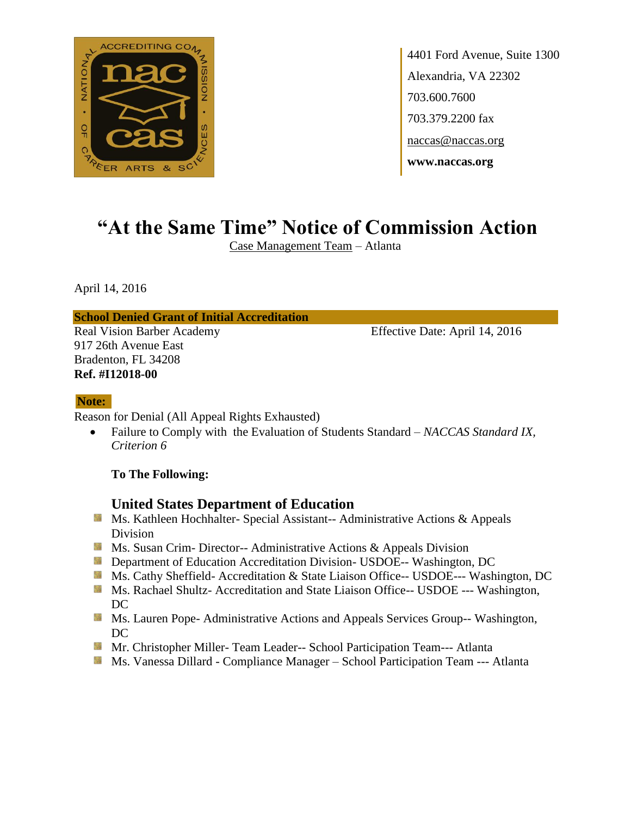

4401 Ford Avenue, Suite 1300 Alexandria, VA 22302 703.600.7600 703.379.2200 fax naccas@naccas.org **www.naccas.org**

# **"At the Same Time" Notice of Commission Action**

Case Management Team – Atlanta

April 14, 2016

#### **School Denied Grant of Initial Accreditation**

917 26th Avenue East Bradenton, FL 34208 **Ref. #I12018-00**

Real Vision Barber Academy Effective Date: April 14, 2016

#### **Note:**

Reason for Denial (All Appeal Rights Exhausted)

 Failure to Comply with the Evaluation of Students Standard – *NACCAS Standard IX, Criterion 6*

#### **To The Following:**

#### **United States Department of Education**

- Ms. Kathleen Hochhalter- Special Assistant-- Administrative Actions & Appeals Division
- **MS.** Susan Crim-Director-- Administrative Actions & Appeals Division
- **Department of Education Accreditation Division- USDOE-- Washington, DC**
- Ms. Cathy Sheffield- Accreditation & State Liaison Office-- USDOE--- Washington, DC
- **Ms. Rachael Shultz- Accreditation and State Liaison Office-- USDOE --- Washington,** DC
- **Ms. Lauren Pope- Administrative Actions and Appeals Services Group-- Washington,** DC
- **Mr.** Christopher Miller-Team Leader-- School Participation Team--- Atlanta
- **Ms. Vanessa Dillard Compliance Manager School Participation Team --- Atlanta**